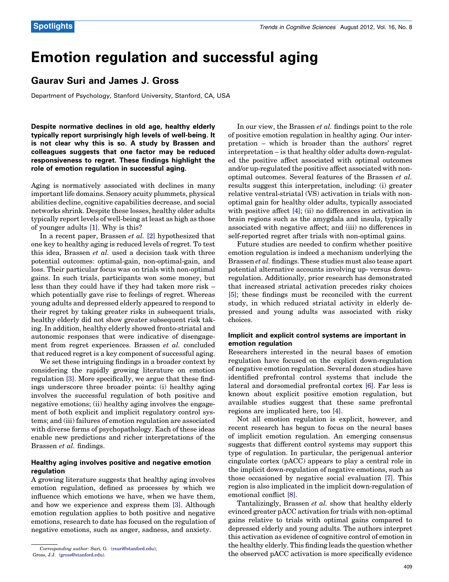# Emotion regulation and successful aging

## Gaurav Suri and James J. Gross

Department of Psychology, Stanford University, Stanford, CA, USA

Despite normative declines in old age, healthy elderly typically report surprisingly high levels of well-being. It is not clear why this is so. A study by Brassen and colleagues suggests that one factor may be reduced responsiveness to regret. These findings highlight the role of emotion regulation in successful aging.

Aging is normatively associated with declines in many important life domains. Sensory acuity plummets, physical abilities decline, cognitive capabilities decrease, and social networks shrink. Despite these losses, healthy older adults typically report levels of well-being at least as high as those of younger adults [\[1\]](#page-1-0). Why is this?

In a recent paper, Brassen et al. [\[2\]](#page-1-0) hypothesized that one key to healthy aging is reduced levels of regret. To test this idea, Brassen et al. used a decision task with three potential outcomes: optimal-gain, non-optimal-gain, and loss. Their particular focus was on trials with non-optimal gains. In such trials, participants won some money, but less than they could have if they had taken more risk – which potentially gave rise to feelings of regret. Whereas young adults and depressed elderly appeared to respond to their regret by taking greater risks in subsequent trials, healthy elderly did not show greater subsequent risk taking. In addition, healthy elderly showed fronto-striatal and autonomic responses that were indicative of disengagement from regret experiences. Brassen et al. concluded that reduced regret is a key component of successful aging.

We set these intriguing findings in a broader context by considering the rapidly growing literature on emotion regulation [\[3\]](#page-1-0). More specifically, we argue that these findings underscore three broader points: (i) healthy aging involves the successful regulation of both positive and negative emotions; (ii) healthy aging involves the engagement of both explicit and implicit regulatory control systems; and (iii) failures of emotion regulation are associated with diverse forms of psychopathology. Each of these ideas enable new predictions and richer interpretations of the Brassen et al. findings.

#### Healthy aging involves positive and negative emotion regulation

A growing literature suggests that healthy aging involves emotion regulation, defined as processes by which we influence which emotions we have, when we have them, and how we experience and express them [\[3\].](#page-1-0) Although emotion regulation applies to both positive and negative emotions, research to date has focused on the regulation of negative emotions, such as anger, sadness, and anxiety.

In our view, the Brassen et al. findings point to the role of positive emotion regulation in healthy aging. Our interpretation – which is broader than the authors' regret interpretation – is that healthy older adults down-regulated the positive affect associated with optimal outcomes and/or up-regulated the positive affect associated with nonoptimal outcomes. Several features of the Brassen et al. results suggest this interpretation, including: (i) greater relative ventral-striatal (VS) activation in trials with nonoptimal gain for healthy older adults, typically associated with positive affect [\[4\]](#page-1-0); (ii) no differences in activation in brain regions such as the amygdala and insula, typically associated with negative affect; and (iii) no differences in self-reported regret after trials with non-optimal gains.

Future studies are needed to confirm whether positive emotion regulation is indeed a mechanism underlying the Brassen et al. findings. These studies must also tease apart potential alternative accounts involving up- versus downregulation. Additionally, prior research has demonstrated that increased striatal activation precedes risky choices [\[5\];](#page-1-0) these findings must be reconciled with the current study, in which reduced striatal activity in elderly depressed and young adults was associated with risky choices.

### Implicit and explicit control systems are important in emotion regulation

Researchers interested in the neural bases of emotion regulation have focused on the explicit down-regulation of negative emotion regulation. Several dozen studies have identified prefrontal control systems that include the lateral and dorsomedial prefrontal cortex [\[6\].](#page-1-0) Far less is known about explicit positive emotion regulation, but available studies suggest that these same prefrontal regions are implicated here, too [\[4\]](#page-1-0).

Not all emotion regulation is explicit, however, and recent research has begun to focus on the neural bases of implicit emotion regulation. An emerging consensus suggests that different control systems may support this type of regulation. In particular, the perigenual anterior cingulate cortex (pACC) appears to play a central role in the implicit down-regulation of negative emotions, such as those occasioned by negative social evaluation [\[7\]](#page-1-0). This region is also implicated in the implicit down-regulation of emotional conflict [\[8\]](#page-1-0).

Tantalizingly, Brassen et al. show that healthy elderly evinced greater pACC activation for trials with non-optimal gains relative to trials with optimal gains compared to depressed elderly and young adults. The authors interpret this activation as evidence of cognitive control of emotion in the [healthy](http://dx.doi.org/10.1016/j.tics.2012.06.009) elderly. This finding leads the question whether the healthy enderly. This initially eduction is more specifically whether<br>
Suri, Gross @stanford.edu),<br>
the observed pACC activation is more specifically evidence

Gross, J.J. [\(](mailto:david_badre@brown.edu)[gross@stanford.edu](mailto:gross@stanford.edu)[\).](mailto:david_badre@brown.edu)